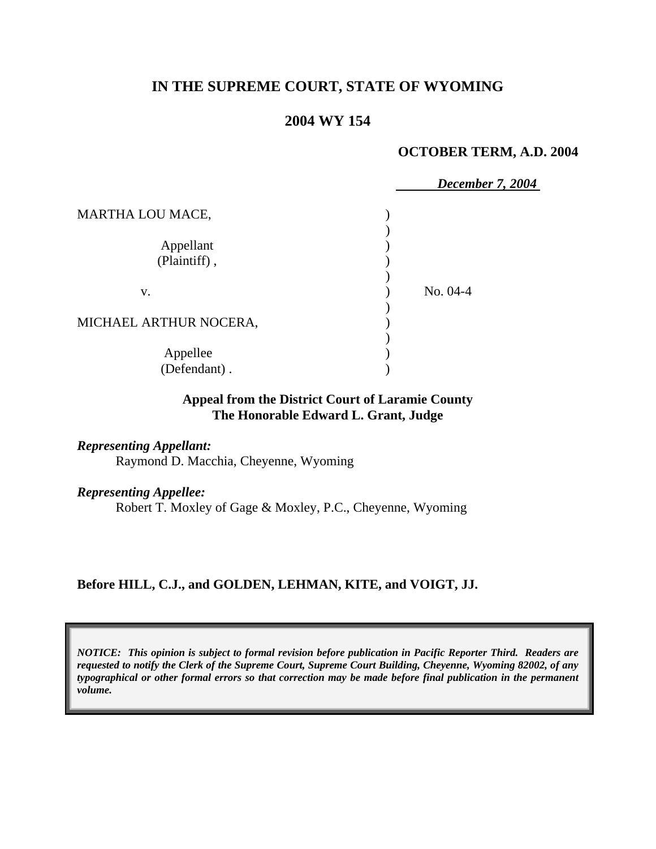# **IN THE SUPREME COURT, STATE OF WYOMING**

# **2004 WY 154**

#### **OCTOBER TERM, A.D. 2004**

|                        | December 7, 2004 |
|------------------------|------------------|
| MARTHA LOU MACE,       |                  |
|                        |                  |
| Appellant              |                  |
| (Plaintiff),           |                  |
|                        |                  |
| V.                     | No. 04-4         |
|                        |                  |
| MICHAEL ARTHUR NOCERA, |                  |
|                        |                  |
| Appellee               |                  |
| (Defendant).           |                  |

# **Appeal from the District Court of Laramie County The Honorable Edward L. Grant, Judge**

*Representing Appellant:*  Raymond D. Macchia, Cheyenne, Wyoming

*Representing Appellee:* Robert T. Moxley of Gage & Moxley, P.C., Cheyenne, Wyoming

**Before HILL, C.J., and GOLDEN, LEHMAN, KITE, and VOIGT, JJ.** 

*NOTICE: This opinion is subject to formal revision before publication in Pacific Reporter Third. Readers are requested to notify the Clerk of the Supreme Court, Supreme Court Building, Cheyenne, Wyoming 82002, of any typographical or other formal errors so that correction may be made before final publication in the permanent volume.*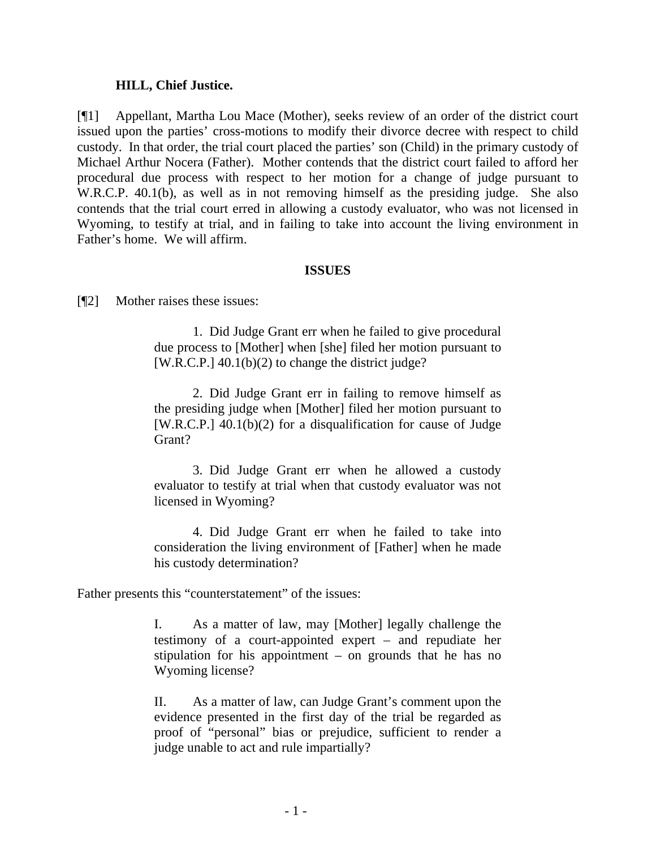#### **HILL, Chief Justice.**

[¶1] Appellant, Martha Lou Mace (Mother), seeks review of an order of the district court issued upon the parties' cross-motions to modify their divorce decree with respect to child custody. In that order, the trial court placed the parties' son (Child) in the primary custody of Michael Arthur Nocera (Father). Mother contends that the district court failed to afford her procedural due process with respect to her motion for a change of judge pursuant to W.R.C.P. 40.1(b), as well as in not removing himself as the presiding judge. She also contends that the trial court erred in allowing a custody evaluator, who was not licensed in Wyoming, to testify at trial, and in failing to take into account the living environment in Father's home. We will affirm.

#### **ISSUES**

[¶2] Mother raises these issues:

1. Did Judge Grant err when he failed to give procedural due process to [Mother] when [she] filed her motion pursuant to [W.R.C.P.] 40.1(b)(2) to change the district judge?

2. Did Judge Grant err in failing to remove himself as the presiding judge when [Mother] filed her motion pursuant to [W.R.C.P.] 40.1(b)(2) for a disqualification for cause of Judge Grant?

3. Did Judge Grant err when he allowed a custody evaluator to testify at trial when that custody evaluator was not licensed in Wyoming?

4. Did Judge Grant err when he failed to take into consideration the living environment of [Father] when he made his custody determination?

Father presents this "counterstatement" of the issues:

I. As a matter of law, may [Mother] legally challenge the testimony of a court-appointed expert – and repudiate her stipulation for his appointment – on grounds that he has no Wyoming license?

II. As a matter of law, can Judge Grant's comment upon the evidence presented in the first day of the trial be regarded as proof of "personal" bias or prejudice, sufficient to render a judge unable to act and rule impartially?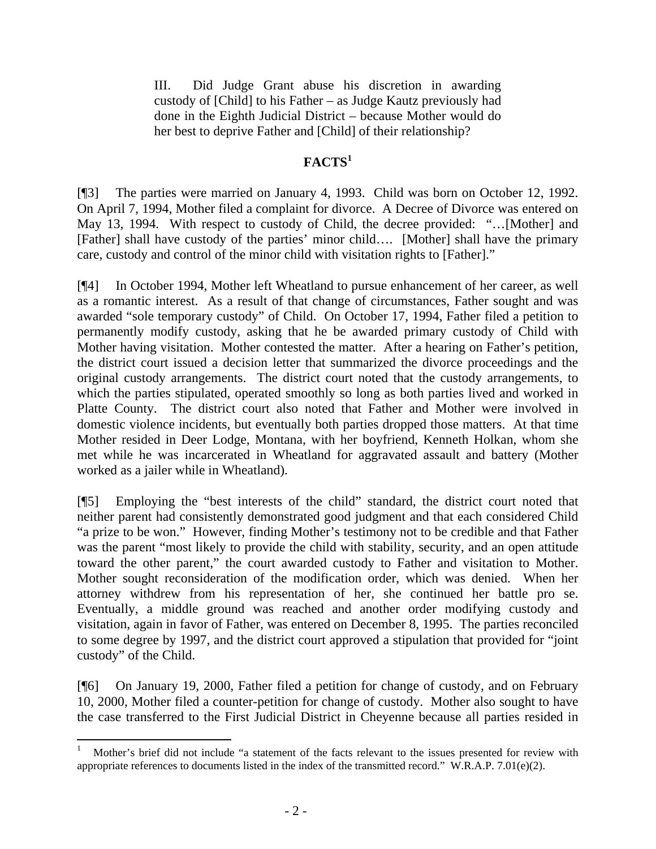III. Did Judge Grant abuse his discretion in awarding custody of [Child] to his Father – as Judge Kautz previously had done in the Eighth Judicial District – because Mother would do her best to deprive Father and [Child] of their relationship?

# **FACTS<sup>1</sup>**

[¶3] The parties were married on January 4, 1993. Child was born on October 12, 1992. On April 7, 1994, Mother filed a complaint for divorce. A Decree of Divorce was entered on May 13, 1994. With respect to custody of Child, the decree provided: "…[Mother] and [Father] shall have custody of the parties' minor child…. [Mother] shall have the primary care, custody and control of the minor child with visitation rights to [Father]."

[¶4] In October 1994, Mother left Wheatland to pursue enhancement of her career, as well as a romantic interest. As a result of that change of circumstances, Father sought and was awarded "sole temporary custody" of Child. On October 17, 1994, Father filed a petition to permanently modify custody, asking that he be awarded primary custody of Child with Mother having visitation. Mother contested the matter. After a hearing on Father's petition, the district court issued a decision letter that summarized the divorce proceedings and the original custody arrangements. The district court noted that the custody arrangements, to which the parties stipulated, operated smoothly so long as both parties lived and worked in Platte County. The district court also noted that Father and Mother were involved in domestic violence incidents, but eventually both parties dropped those matters. At that time Mother resided in Deer Lodge, Montana, with her boyfriend, Kenneth Holkan, whom she met while he was incarcerated in Wheatland for aggravated assault and battery (Mother worked as a jailer while in Wheatland).

[¶5] Employing the "best interests of the child" standard, the district court noted that neither parent had consistently demonstrated good judgment and that each considered Child "a prize to be won." However, finding Mother's testimony not to be credible and that Father was the parent "most likely to provide the child with stability, security, and an open attitude toward the other parent," the court awarded custody to Father and visitation to Mother. Mother sought reconsideration of the modification order, which was denied. When her attorney withdrew from his representation of her, she continued her battle pro se. Eventually, a middle ground was reached and another order modifying custody and visitation, again in favor of Father, was entered on December 8, 1995. The parties reconciled to some degree by 1997, and the district court approved a stipulation that provided for "joint custody" of the Child.

[¶6] On January 19, 2000, Father filed a petition for change of custody, and on February 10, 2000, Mother filed a counter-petition for change of custody. Mother also sought to have the case transferred to the First Judicial District in Cheyenne because all parties resided in

 $\overline{a}$ 

<sup>1</sup> Mother's brief did not include "a statement of the facts relevant to the issues presented for review with appropriate references to documents listed in the index of the transmitted record." W.R.A.P. 7.01(e)(2).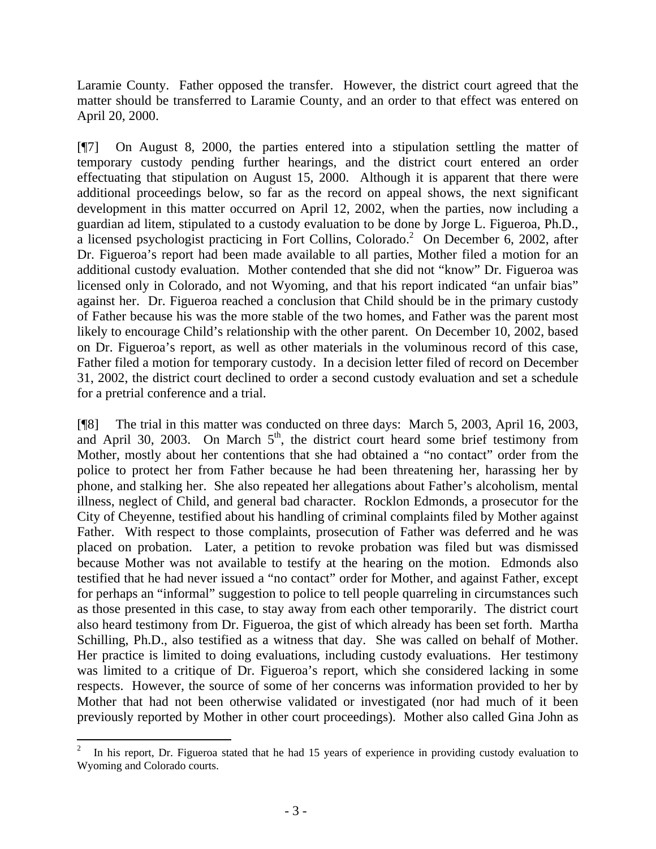Laramie County. Father opposed the transfer. However, the district court agreed that the matter should be transferred to Laramie County, and an order to that effect was entered on April 20, 2000.

[¶7] On August 8, 2000, the parties entered into a stipulation settling the matter of temporary custody pending further hearings, and the district court entered an order effectuating that stipulation on August 15, 2000. Although it is apparent that there were additional proceedings below, so far as the record on appeal shows, the next significant development in this matter occurred on April 12, 2002, when the parties, now including a guardian ad litem, stipulated to a custody evaluation to be done by Jorge L. Figueroa, Ph.D., a licensed psychologist practicing in Fort Collins, Colorado.<sup>2</sup> On December 6, 2002, after Dr. Figueroa's report had been made available to all parties, Mother filed a motion for an additional custody evaluation. Mother contended that she did not "know" Dr. Figueroa was licensed only in Colorado, and not Wyoming, and that his report indicated "an unfair bias" against her. Dr. Figueroa reached a conclusion that Child should be in the primary custody of Father because his was the more stable of the two homes, and Father was the parent most likely to encourage Child's relationship with the other parent. On December 10, 2002, based on Dr. Figueroa's report, as well as other materials in the voluminous record of this case, Father filed a motion for temporary custody. In a decision letter filed of record on December 31, 2002, the district court declined to order a second custody evaluation and set a schedule for a pretrial conference and a trial.

[¶8] The trial in this matter was conducted on three days: March 5, 2003, April 16, 2003, and April 30, 2003. On March  $5<sup>th</sup>$ , the district court heard some brief testimony from Mother, mostly about her contentions that she had obtained a "no contact" order from the police to protect her from Father because he had been threatening her, harassing her by phone, and stalking her. She also repeated her allegations about Father's alcoholism, mental illness, neglect of Child, and general bad character. Rocklon Edmonds, a prosecutor for the City of Cheyenne, testified about his handling of criminal complaints filed by Mother against Father. With respect to those complaints, prosecution of Father was deferred and he was placed on probation. Later, a petition to revoke probation was filed but was dismissed because Mother was not available to testify at the hearing on the motion. Edmonds also testified that he had never issued a "no contact" order for Mother, and against Father, except for perhaps an "informal" suggestion to police to tell people quarreling in circumstances such as those presented in this case, to stay away from each other temporarily. The district court also heard testimony from Dr. Figueroa, the gist of which already has been set forth. Martha Schilling, Ph.D., also testified as a witness that day. She was called on behalf of Mother. Her practice is limited to doing evaluations, including custody evaluations. Her testimony was limited to a critique of Dr. Figueroa's report, which she considered lacking in some respects. However, the source of some of her concerns was information provided to her by Mother that had not been otherwise validated or investigated (nor had much of it been previously reported by Mother in other court proceedings). Mother also called Gina John as

<sup>2</sup> In his report, Dr. Figueroa stated that he had 15 years of experience in providing custody evaluation to Wyoming and Colorado courts.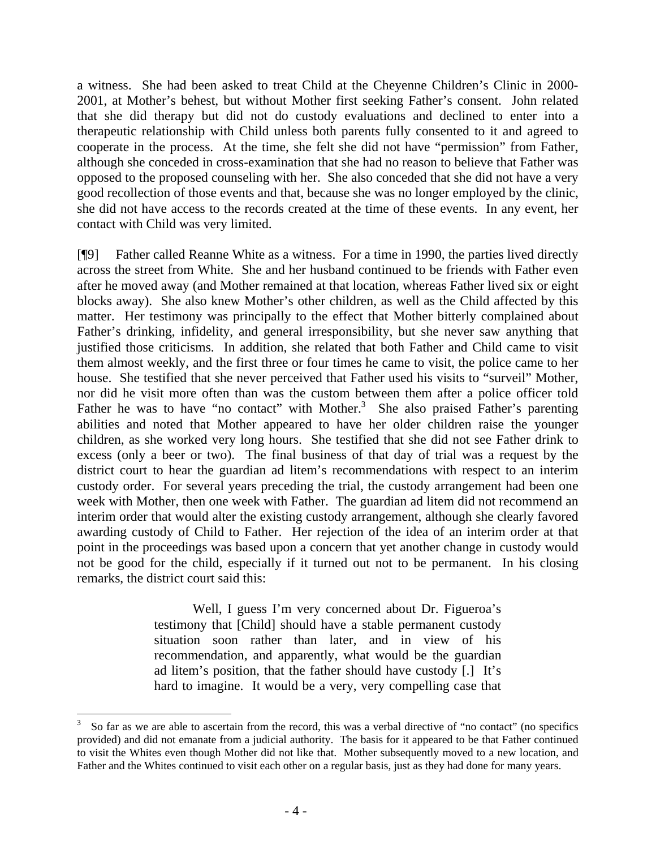a witness. She had been asked to treat Child at the Cheyenne Children's Clinic in 2000- 2001, at Mother's behest, but without Mother first seeking Father's consent. John related that she did therapy but did not do custody evaluations and declined to enter into a therapeutic relationship with Child unless both parents fully consented to it and agreed to cooperate in the process. At the time, she felt she did not have "permission" from Father, although she conceded in cross-examination that she had no reason to believe that Father was opposed to the proposed counseling with her. She also conceded that she did not have a very good recollection of those events and that, because she was no longer employed by the clinic, she did not have access to the records created at the time of these events. In any event, her contact with Child was very limited.

[¶9] Father called Reanne White as a witness. For a time in 1990, the parties lived directly across the street from White. She and her husband continued to be friends with Father even after he moved away (and Mother remained at that location, whereas Father lived six or eight blocks away). She also knew Mother's other children, as well as the Child affected by this matter. Her testimony was principally to the effect that Mother bitterly complained about Father's drinking, infidelity, and general irresponsibility, but she never saw anything that justified those criticisms. In addition, she related that both Father and Child came to visit them almost weekly, and the first three or four times he came to visit, the police came to her house. She testified that she never perceived that Father used his visits to "surveil" Mother, nor did he visit more often than was the custom between them after a police officer told Father he was to have "no contact" with Mother.<sup>3</sup> She also praised Father's parenting abilities and noted that Mother appeared to have her older children raise the younger children, as she worked very long hours. She testified that she did not see Father drink to excess (only a beer or two). The final business of that day of trial was a request by the district court to hear the guardian ad litem's recommendations with respect to an interim custody order. For several years preceding the trial, the custody arrangement had been one week with Mother, then one week with Father. The guardian ad litem did not recommend an interim order that would alter the existing custody arrangement, although she clearly favored awarding custody of Child to Father. Her rejection of the idea of an interim order at that point in the proceedings was based upon a concern that yet another change in custody would not be good for the child, especially if it turned out not to be permanent. In his closing remarks, the district court said this:

> Well, I guess I'm very concerned about Dr. Figueroa's testimony that [Child] should have a stable permanent custody situation soon rather than later, and in view of his recommendation, and apparently, what would be the guardian ad litem's position, that the father should have custody [.] It's hard to imagine. It would be a very, very compelling case that

 $\overline{a}$ 

<sup>3</sup> So far as we are able to ascertain from the record, this was a verbal directive of "no contact" (no specifics provided) and did not emanate from a judicial authority. The basis for it appeared to be that Father continued to visit the Whites even though Mother did not like that. Mother subsequently moved to a new location, and Father and the Whites continued to visit each other on a regular basis, just as they had done for many years.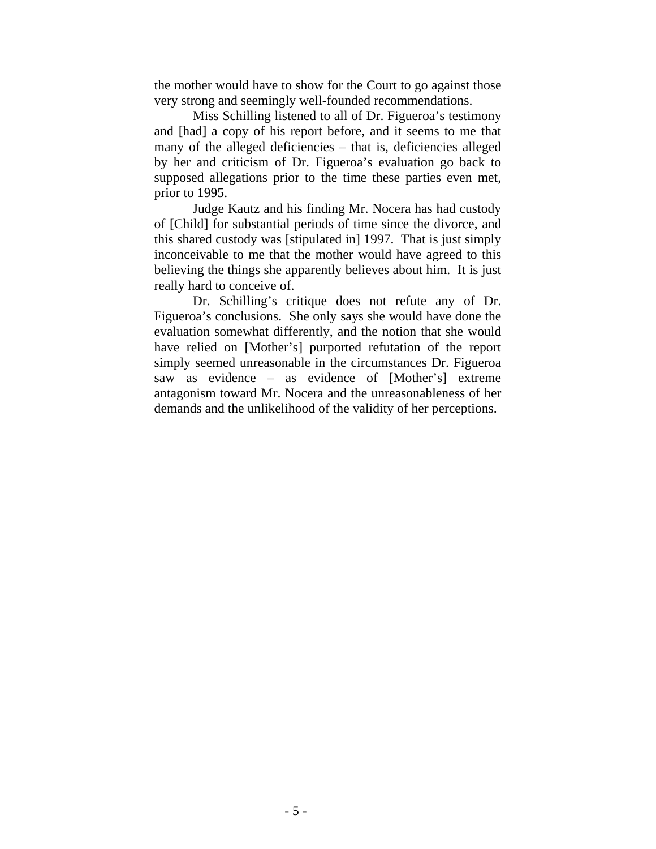the mother would have to show for the Court to go against those very strong and seemingly well-founded recommendations.

Miss Schilling listened to all of Dr. Figueroa's testimony and [had] a copy of his report before, and it seems to me that many of the alleged deficiencies – that is, deficiencies alleged by her and criticism of Dr. Figueroa's evaluation go back to supposed allegations prior to the time these parties even met, prior to 1995.

Judge Kautz and his finding Mr. Nocera has had custody of [Child] for substantial periods of time since the divorce, and this shared custody was [stipulated in] 1997. That is just simply inconceivable to me that the mother would have agreed to this believing the things she apparently believes about him. It is just really hard to conceive of.

Dr. Schilling's critique does not refute any of Dr. Figueroa's conclusions. She only says she would have done the evaluation somewhat differently, and the notion that she would have relied on [Mother's] purported refutation of the report simply seemed unreasonable in the circumstances Dr. Figueroa saw as evidence – as evidence of [Mother's] extreme antagonism toward Mr. Nocera and the unreasonableness of her demands and the unlikelihood of the validity of her perceptions.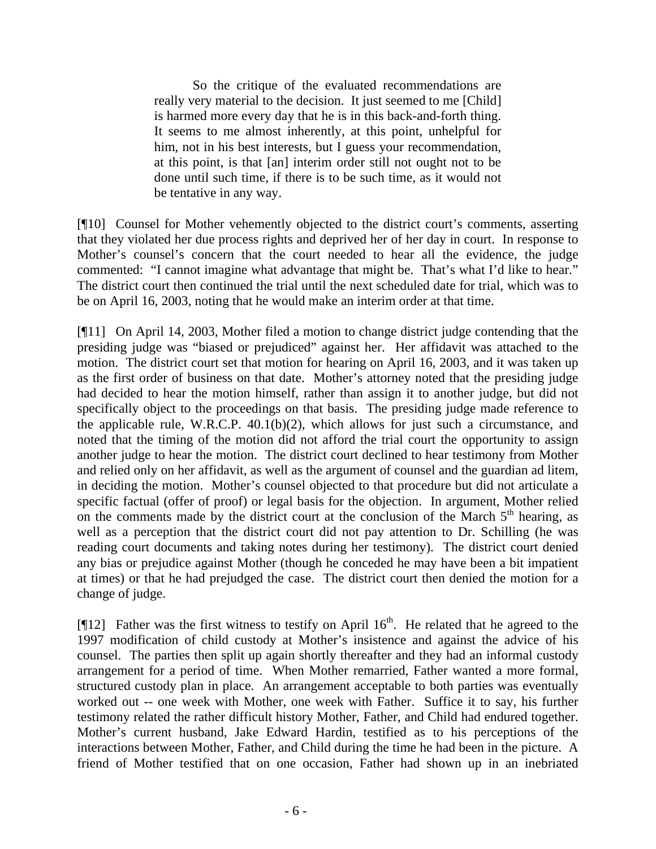So the critique of the evaluated recommendations are really very material to the decision. It just seemed to me [Child] is harmed more every day that he is in this back-and-forth thing. It seems to me almost inherently, at this point, unhelpful for him, not in his best interests, but I guess your recommendation, at this point, is that [an] interim order still not ought not to be done until such time, if there is to be such time, as it would not be tentative in any way.

[¶10] Counsel for Mother vehemently objected to the district court's comments, asserting that they violated her due process rights and deprived her of her day in court. In response to Mother's counsel's concern that the court needed to hear all the evidence, the judge commented: "I cannot imagine what advantage that might be. That's what I'd like to hear." The district court then continued the trial until the next scheduled date for trial, which was to be on April 16, 2003, noting that he would make an interim order at that time.

[¶11] On April 14, 2003, Mother filed a motion to change district judge contending that the presiding judge was "biased or prejudiced" against her. Her affidavit was attached to the motion. The district court set that motion for hearing on April 16, 2003, and it was taken up as the first order of business on that date. Mother's attorney noted that the presiding judge had decided to hear the motion himself, rather than assign it to another judge, but did not specifically object to the proceedings on that basis. The presiding judge made reference to the applicable rule, W.R.C.P. 40.1(b)(2), which allows for just such a circumstance, and noted that the timing of the motion did not afford the trial court the opportunity to assign another judge to hear the motion. The district court declined to hear testimony from Mother and relied only on her affidavit, as well as the argument of counsel and the guardian ad litem, in deciding the motion. Mother's counsel objected to that procedure but did not articulate a specific factual (offer of proof) or legal basis for the objection. In argument, Mother relied on the comments made by the district court at the conclusion of the March  $5<sup>th</sup>$  hearing, as well as a perception that the district court did not pay attention to Dr. Schilling (he was reading court documents and taking notes during her testimony). The district court denied any bias or prejudice against Mother (though he conceded he may have been a bit impatient at times) or that he had prejudged the case. The district court then denied the motion for a change of judge.

[ $[12]$  Father was the first witness to testify on April 16<sup>th</sup>. He related that he agreed to the 1997 modification of child custody at Mother's insistence and against the advice of his counsel. The parties then split up again shortly thereafter and they had an informal custody arrangement for a period of time. When Mother remarried, Father wanted a more formal, structured custody plan in place. An arrangement acceptable to both parties was eventually worked out -- one week with Mother, one week with Father. Suffice it to say, his further testimony related the rather difficult history Mother, Father, and Child had endured together. Mother's current husband, Jake Edward Hardin, testified as to his perceptions of the interactions between Mother, Father, and Child during the time he had been in the picture. A friend of Mother testified that on one occasion, Father had shown up in an inebriated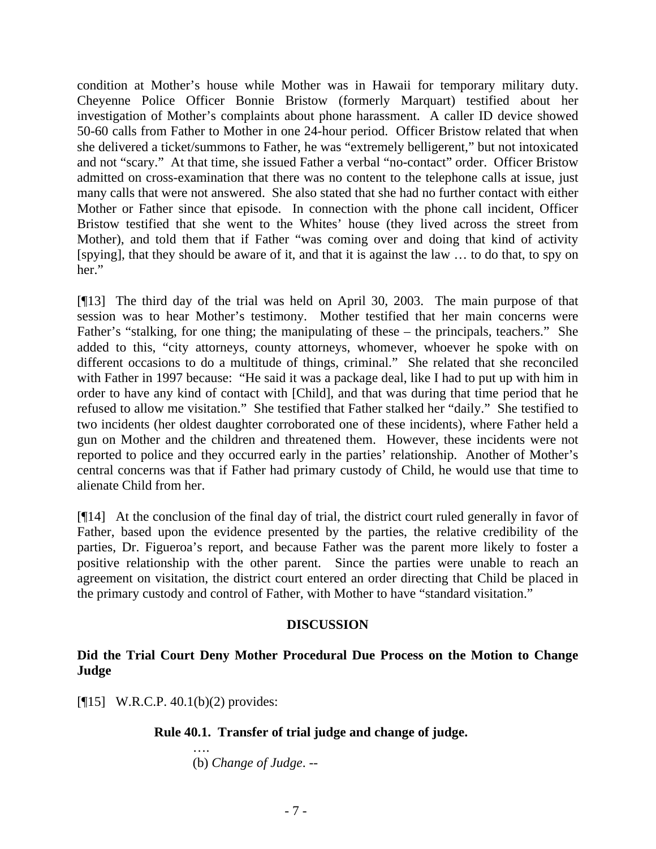condition at Mother's house while Mother was in Hawaii for temporary military duty. Cheyenne Police Officer Bonnie Bristow (formerly Marquart) testified about her investigation of Mother's complaints about phone harassment. A caller ID device showed 50-60 calls from Father to Mother in one 24-hour period. Officer Bristow related that when she delivered a ticket/summons to Father, he was "extremely belligerent," but not intoxicated and not "scary." At that time, she issued Father a verbal "no-contact" order. Officer Bristow admitted on cross-examination that there was no content to the telephone calls at issue, just many calls that were not answered. She also stated that she had no further contact with either Mother or Father since that episode. In connection with the phone call incident, Officer Bristow testified that she went to the Whites' house (they lived across the street from Mother), and told them that if Father "was coming over and doing that kind of activity [spying], that they should be aware of it, and that it is against the law … to do that, to spy on her."

[¶13] The third day of the trial was held on April 30, 2003. The main purpose of that session was to hear Mother's testimony. Mother testified that her main concerns were Father's "stalking, for one thing; the manipulating of these – the principals, teachers." She added to this, "city attorneys, county attorneys, whomever, whoever he spoke with on different occasions to do a multitude of things, criminal." She related that she reconciled with Father in 1997 because: "He said it was a package deal, like I had to put up with him in order to have any kind of contact with [Child], and that was during that time period that he refused to allow me visitation." She testified that Father stalked her "daily." She testified to two incidents (her oldest daughter corroborated one of these incidents), where Father held a gun on Mother and the children and threatened them. However, these incidents were not reported to police and they occurred early in the parties' relationship. Another of Mother's central concerns was that if Father had primary custody of Child, he would use that time to alienate Child from her.

[¶14] At the conclusion of the final day of trial, the district court ruled generally in favor of Father, based upon the evidence presented by the parties, the relative credibility of the parties, Dr. Figueroa's report, and because Father was the parent more likely to foster a positive relationship with the other parent. Since the parties were unable to reach an agreement on visitation, the district court entered an order directing that Child be placed in the primary custody and control of Father, with Mother to have "standard visitation."

### **DISCUSSION**

### **Did the Trial Court Deny Mother Procedural Due Process on the Motion to Change Judge**

[¶15] W.R.C.P. 40.1(b)(2) provides:

….

### **Rule 40.1. Transfer of trial judge and change of judge.**

(b) *Change of Judge*. --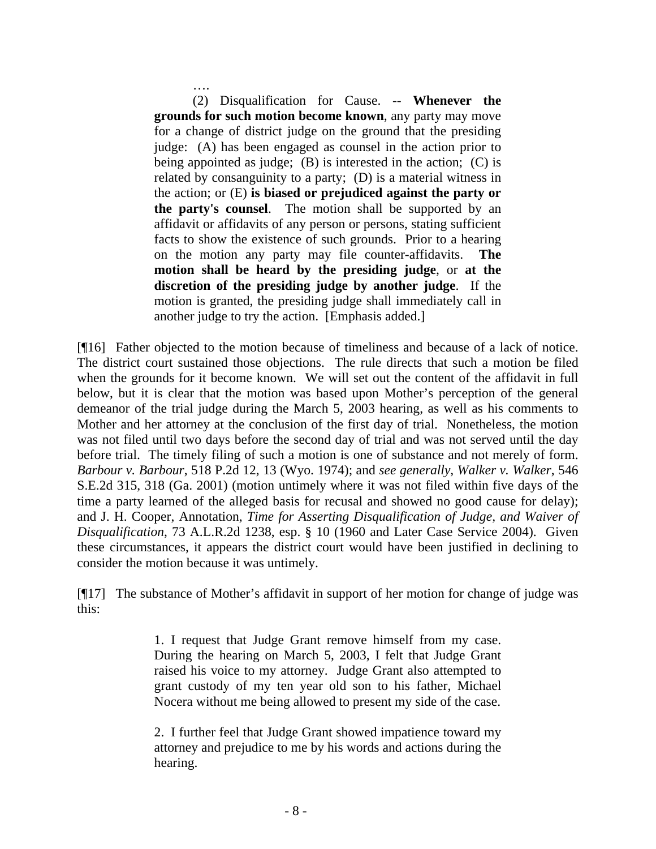…. (2) Disqualification for Cause. -- **Whenever the grounds for such motion become known**, any party may move for a change of district judge on the ground that the presiding judge: (A) has been engaged as counsel in the action prior to being appointed as judge; (B) is interested in the action; (C) is related by consanguinity to a party; (D) is a material witness in the action; or (E) **is biased or prejudiced against the party or the party's counsel**. The motion shall be supported by an affidavit or affidavits of any person or persons, stating sufficient facts to show the existence of such grounds. Prior to a hearing on the motion any party may file counter-affidavits. **The motion shall be heard by the presiding judge**, or **at the discretion of the presiding judge by another judge**. If the motion is granted, the presiding judge shall immediately call in another judge to try the action. [Emphasis added.]

[¶16] Father objected to the motion because of timeliness and because of a lack of notice. The district court sustained those objections. The rule directs that such a motion be filed when the grounds for it become known. We will set out the content of the affidavit in full below, but it is clear that the motion was based upon Mother's perception of the general demeanor of the trial judge during the March 5, 2003 hearing, as well as his comments to Mother and her attorney at the conclusion of the first day of trial. Nonetheless, the motion was not filed until two days before the second day of trial and was not served until the day before trial. The timely filing of such a motion is one of substance and not merely of form. *Barbour v. Barbour*, 518 P.2d 12, 13 (Wyo. 1974); and *see generally*, *Walker v. Walker*, 546 S.E.2d 315, 318 (Ga. 2001) (motion untimely where it was not filed within five days of the time a party learned of the alleged basis for recusal and showed no good cause for delay); and J. H. Cooper, Annotation, *Time for Asserting Disqualification of Judge, and Waiver of Disqualification*, 73 A.L.R.2d 1238, esp. § 10 (1960 and Later Case Service 2004). Given these circumstances, it appears the district court would have been justified in declining to consider the motion because it was untimely.

[¶17] The substance of Mother's affidavit in support of her motion for change of judge was this:

> 1. I request that Judge Grant remove himself from my case. During the hearing on March 5, 2003, I felt that Judge Grant raised his voice to my attorney. Judge Grant also attempted to grant custody of my ten year old son to his father, Michael Nocera without me being allowed to present my side of the case.

> 2. I further feel that Judge Grant showed impatience toward my attorney and prejudice to me by his words and actions during the hearing.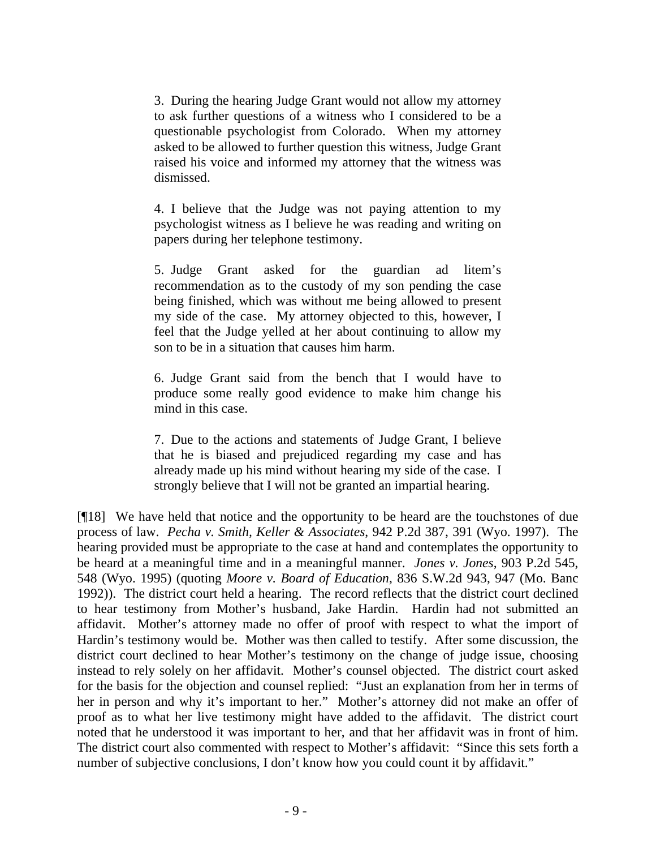3. During the hearing Judge Grant would not allow my attorney to ask further questions of a witness who I considered to be a questionable psychologist from Colorado. When my attorney asked to be allowed to further question this witness, Judge Grant raised his voice and informed my attorney that the witness was dismissed.

4. I believe that the Judge was not paying attention to my psychologist witness as I believe he was reading and writing on papers during her telephone testimony.

5. Judge Grant asked for the guardian ad litem's recommendation as to the custody of my son pending the case being finished, which was without me being allowed to present my side of the case. My attorney objected to this, however, I feel that the Judge yelled at her about continuing to allow my son to be in a situation that causes him harm.

6. Judge Grant said from the bench that I would have to produce some really good evidence to make him change his mind in this case.

7. Due to the actions and statements of Judge Grant, I believe that he is biased and prejudiced regarding my case and has already made up his mind without hearing my side of the case. I strongly believe that I will not be granted an impartial hearing.

[¶18] We have held that notice and the opportunity to be heard are the touchstones of due process of law. *Pecha v. Smith, Keller & Associates*, 942 P.2d 387, 391 (Wyo. 1997). The hearing provided must be appropriate to the case at hand and contemplates the opportunity to be heard at a meaningful time and in a meaningful manner. *Jones v. Jones*, 903 P.2d 545, 548 (Wyo. 1995) (quoting *Moore v. Board of Education*, 836 S.W.2d 943, 947 (Mo. Banc 1992)). The district court held a hearing. The record reflects that the district court declined to hear testimony from Mother's husband, Jake Hardin. Hardin had not submitted an affidavit. Mother's attorney made no offer of proof with respect to what the import of Hardin's testimony would be. Mother was then called to testify. After some discussion, the district court declined to hear Mother's testimony on the change of judge issue, choosing instead to rely solely on her affidavit. Mother's counsel objected. The district court asked for the basis for the objection and counsel replied: "Just an explanation from her in terms of her in person and why it's important to her." Mother's attorney did not make an offer of proof as to what her live testimony might have added to the affidavit. The district court noted that he understood it was important to her, and that her affidavit was in front of him. The district court also commented with respect to Mother's affidavit: "Since this sets forth a number of subjective conclusions, I don't know how you could count it by affidavit."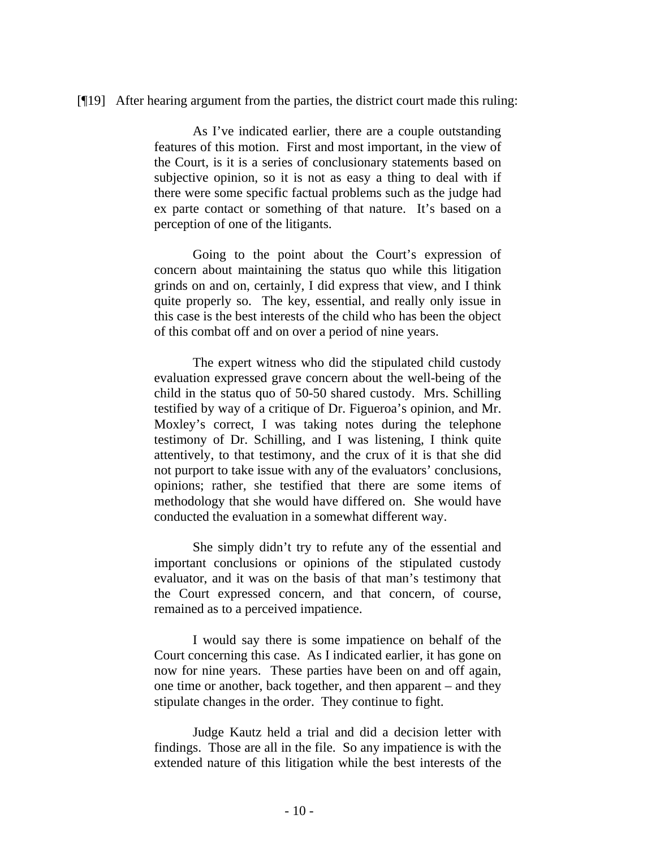#### [¶19] After hearing argument from the parties, the district court made this ruling:

As I've indicated earlier, there are a couple outstanding features of this motion. First and most important, in the view of the Court, is it is a series of conclusionary statements based on subjective opinion, so it is not as easy a thing to deal with if there were some specific factual problems such as the judge had ex parte contact or something of that nature. It's based on a perception of one of the litigants.

Going to the point about the Court's expression of concern about maintaining the status quo while this litigation grinds on and on, certainly, I did express that view, and I think quite properly so. The key, essential, and really only issue in this case is the best interests of the child who has been the object of this combat off and on over a period of nine years.

The expert witness who did the stipulated child custody evaluation expressed grave concern about the well-being of the child in the status quo of 50-50 shared custody. Mrs. Schilling testified by way of a critique of Dr. Figueroa's opinion, and Mr. Moxley's correct, I was taking notes during the telephone testimony of Dr. Schilling, and I was listening, I think quite attentively, to that testimony, and the crux of it is that she did not purport to take issue with any of the evaluators' conclusions, opinions; rather, she testified that there are some items of methodology that she would have differed on. She would have conducted the evaluation in a somewhat different way.

She simply didn't try to refute any of the essential and important conclusions or opinions of the stipulated custody evaluator, and it was on the basis of that man's testimony that the Court expressed concern, and that concern, of course, remained as to a perceived impatience.

I would say there is some impatience on behalf of the Court concerning this case. As I indicated earlier, it has gone on now for nine years. These parties have been on and off again, one time or another, back together, and then apparent – and they stipulate changes in the order. They continue to fight.

Judge Kautz held a trial and did a decision letter with findings. Those are all in the file. So any impatience is with the extended nature of this litigation while the best interests of the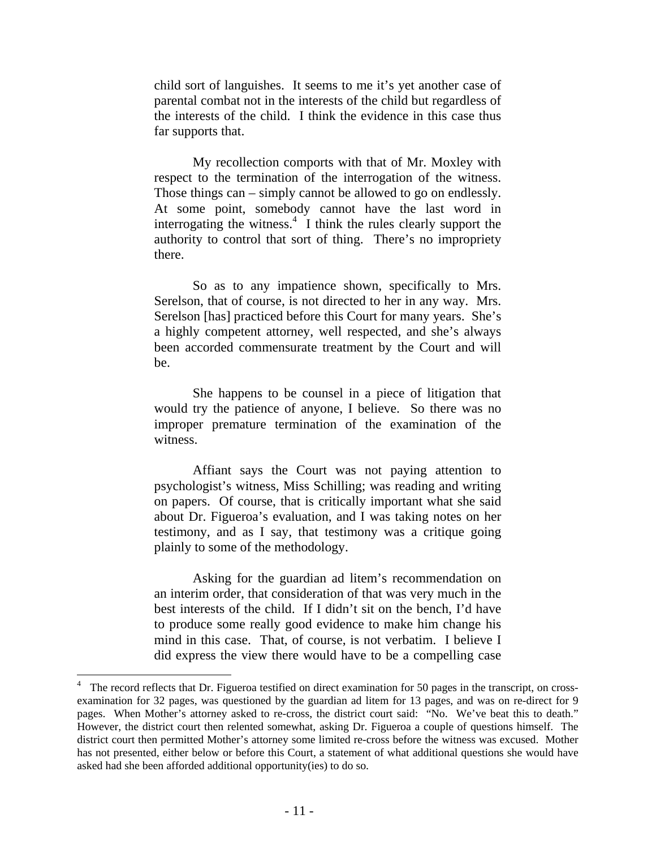child sort of languishes. It seems to me it's yet another case of parental combat not in the interests of the child but regardless of the interests of the child. I think the evidence in this case thus far supports that.

My recollection comports with that of Mr. Moxley with respect to the termination of the interrogation of the witness. Those things can – simply cannot be allowed to go on endlessly. At some point, somebody cannot have the last word in interrogating the witness. $\frac{4}{1}$  I think the rules clearly support the authority to control that sort of thing. There's no impropriety there.

So as to any impatience shown, specifically to Mrs. Serelson, that of course, is not directed to her in any way. Mrs. Serelson [has] practiced before this Court for many years. She's a highly competent attorney, well respected, and she's always been accorded commensurate treatment by the Court and will be.

She happens to be counsel in a piece of litigation that would try the patience of anyone, I believe. So there was no improper premature termination of the examination of the witness.

Affiant says the Court was not paying attention to psychologist's witness, Miss Schilling; was reading and writing on papers. Of course, that is critically important what she said about Dr. Figueroa's evaluation, and I was taking notes on her testimony, and as I say, that testimony was a critique going plainly to some of the methodology.

Asking for the guardian ad litem's recommendation on an interim order, that consideration of that was very much in the best interests of the child. If I didn't sit on the bench, I'd have to produce some really good evidence to make him change his mind in this case. That, of course, is not verbatim. I believe I did express the view there would have to be a compelling case

<sup>4</sup> The record reflects that Dr. Figueroa testified on direct examination for 50 pages in the transcript, on crossexamination for 32 pages, was questioned by the guardian ad litem for 13 pages, and was on re-direct for 9 pages. When Mother's attorney asked to re-cross, the district court said: "No. We've beat this to death." However, the district court then relented somewhat, asking Dr. Figueroa a couple of questions himself. The district court then permitted Mother's attorney some limited re-cross before the witness was excused. Mother has not presented, either below or before this Court, a statement of what additional questions she would have asked had she been afforded additional opportunity(ies) to do so.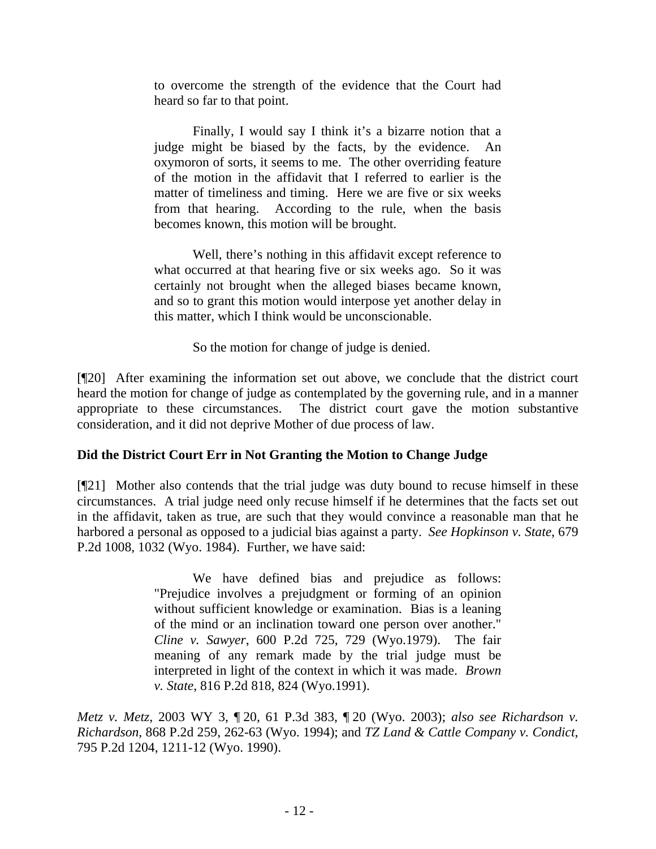to overcome the strength of the evidence that the Court had heard so far to that point.

Finally, I would say I think it's a bizarre notion that a judge might be biased by the facts, by the evidence. An oxymoron of sorts, it seems to me. The other overriding feature of the motion in the affidavit that I referred to earlier is the matter of timeliness and timing. Here we are five or six weeks from that hearing. According to the rule, when the basis becomes known, this motion will be brought.

Well, there's nothing in this affidavit except reference to what occurred at that hearing five or six weeks ago. So it was certainly not brought when the alleged biases became known, and so to grant this motion would interpose yet another delay in this matter, which I think would be unconscionable.

So the motion for change of judge is denied.

[¶20] After examining the information set out above, we conclude that the district court heard the motion for change of judge as contemplated by the governing rule, and in a manner appropriate to these circumstances. The district court gave the motion substantive consideration, and it did not deprive Mother of due process of law.

# **Did the District Court Err in Not Granting the Motion to Change Judge**

[¶21] Mother also contends that the trial judge was duty bound to recuse himself in these circumstances. A trial judge need only recuse himself if he determines that the facts set out in the affidavit, taken as true, are such that they would convince a reasonable man that he harbored a personal as opposed to a judicial bias against a party. *See Hopkinson v. State*, 679 P.2d 1008, 1032 (Wyo. 1984). Further, we have said:

> We have defined bias and prejudice as follows: "Prejudice involves a prejudgment or forming of an opinion without sufficient knowledge or examination. Bias is a leaning of the mind or an inclination toward one person over another." *Cline v. Sawyer*, 600 P.2d 725, 729 (Wyo.1979). The fair meaning of any remark made by the trial judge must be interpreted in light of the context in which it was made. *Brown v. State*, 816 P.2d 818, 824 (Wyo.1991).

*Metz v. Metz*, 2003 WY 3, ¶ 20, 61 P.3d 383, ¶ 20 (Wyo. 2003); *also see Richardson v. Richardson*, 868 P.2d 259, 262-63 (Wyo. 1994); and *TZ Land & Cattle Company v. Condict*, 795 P.2d 1204, 1211-12 (Wyo. 1990).